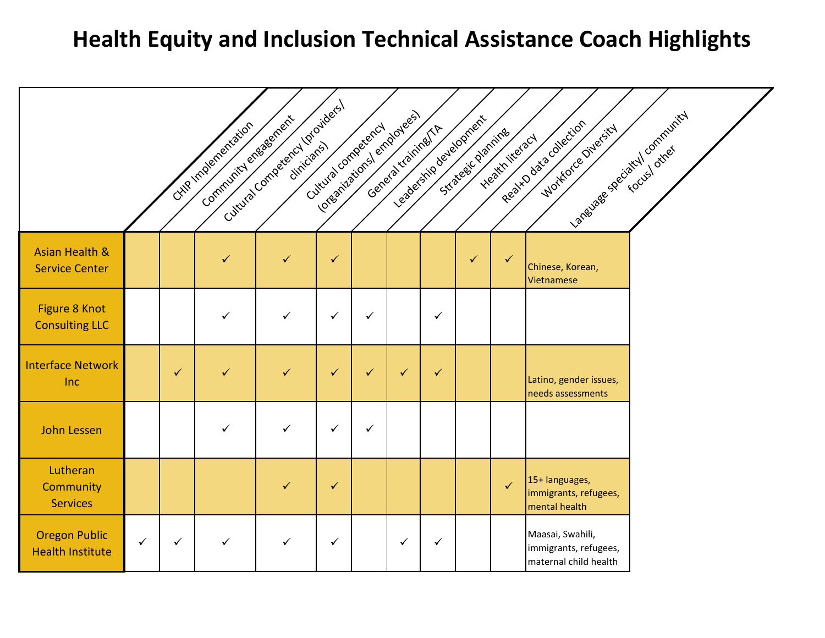# **Health Equity and Inclusion Technical Assistance Coach Highlights**

|                                                    |              |              | Community engagement<br>CHIP Implementation | Cuttura Competency Igraviders) | Loresnizations/ employees)<br>Cuttural competency |              |              | Generatrianing/TA | readership development<br>Strategic planning | Heath literacy | Language specialtyl community<br>Realth data collection<br>Workorce Owersity |  |
|----------------------------------------------------|--------------|--------------|---------------------------------------------|--------------------------------|---------------------------------------------------|--------------|--------------|-------------------|----------------------------------------------|----------------|------------------------------------------------------------------------------|--|
| <b>Asian Health &amp;</b><br><b>Service Center</b> |              |              | $\checkmark$                                | $\checkmark$                   | $\checkmark$                                      |              |              |                   | $\checkmark$                                 | $\checkmark$   | Chinese, Korean,<br>Vietnamese                                               |  |
| Figure 8 Knot<br><b>Consulting LLC</b>             |              |              | ✓                                           | ✓                              | ✓                                                 | ✓            |              | $\checkmark$      |                                              |                |                                                                              |  |
| <b>Interface Network</b><br><b>Inc</b>             |              | $\checkmark$ | $\checkmark$                                | $\checkmark$                   | $\checkmark$                                      | $\checkmark$ | $\checkmark$ | $\checkmark$      |                                              |                | Latino, gender issues,<br>needs assessments                                  |  |
| <b>John Lessen</b>                                 |              |              | $\checkmark$                                | $\checkmark$                   | ✓                                                 | ✓            |              |                   |                                              |                |                                                                              |  |
| Lutheran<br>Community<br><b>Services</b>           |              |              |                                             | ✓                              | $\checkmark$                                      |              |              |                   |                                              | $\checkmark$   | 15+ languages,<br>immigrants, refugees,<br>mental health                     |  |
| <b>Oregon Public</b><br><b>Health Institute</b>    | $\checkmark$ | $\checkmark$ | $\checkmark$                                | ✓                              | $\checkmark$                                      |              | $\checkmark$ | $\checkmark$      |                                              |                | Maasai, Swahili,<br>immigrants, refugees,<br>maternal child health           |  |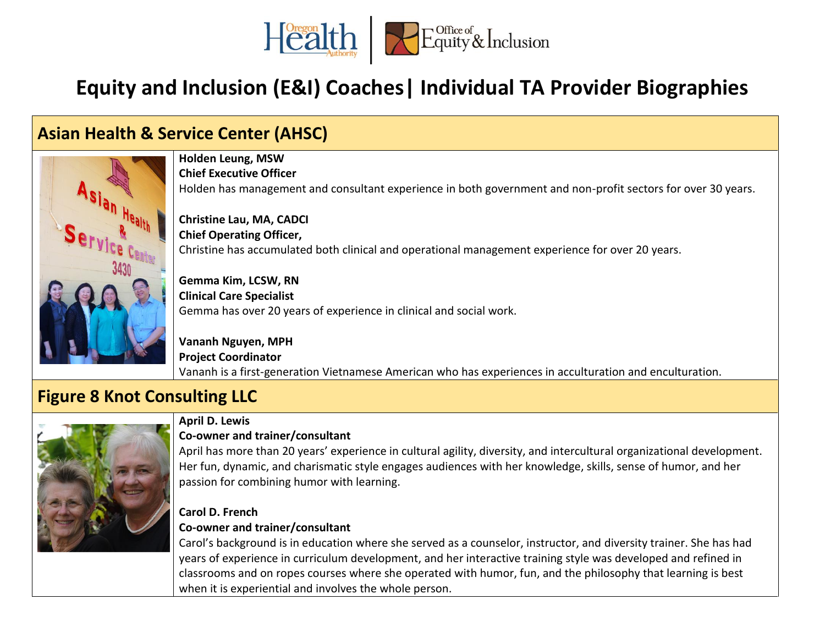

## **Equity and Inclusion (E&I) Coaches| Individual TA Provider Biographies**

## **Asian Health & Service Center (AHSC)**



**Holden Leung, MSW Chief Executive Officer** Holden has management and consultant experience in both government and non-profit sectors for over 30 years.

**Christine Lau, MA, CADCI Chief Operating Officer,**  Christine has accumulated both clinical and operational management experience for over 20 years.

**Gemma Kim, LCSW, RN Clinical Care Specialist** Gemma has over 20 years of experience in clinical and social work.

**Vananh Nguyen, MPH Project Coordinator** Vananh is a first-generation Vietnamese American who has experiences in acculturation and enculturation.

## **Figure 8 Knot Consulting LLC**



#### **April D. Lewis**

#### **Co-owner and trainer/consultant**

April has more than 20 years' experience in cultural agility, diversity, and intercultural organizational development. Her fun, dynamic, and charismatic style engages audiences with her knowledge, skills, sense of humor, and her passion for combining humor with learning.

#### **Carol D. French Co-owner and trainer/consultant**

Carol's background is in education where she served as a counselor, instructor, and diversity trainer. She has had years of experience in curriculum development, and her interactive training style was developed and refined in classrooms and on ropes courses where she operated with humor, fun, and the philosophy that learning is best when it is experiential and involves the whole person.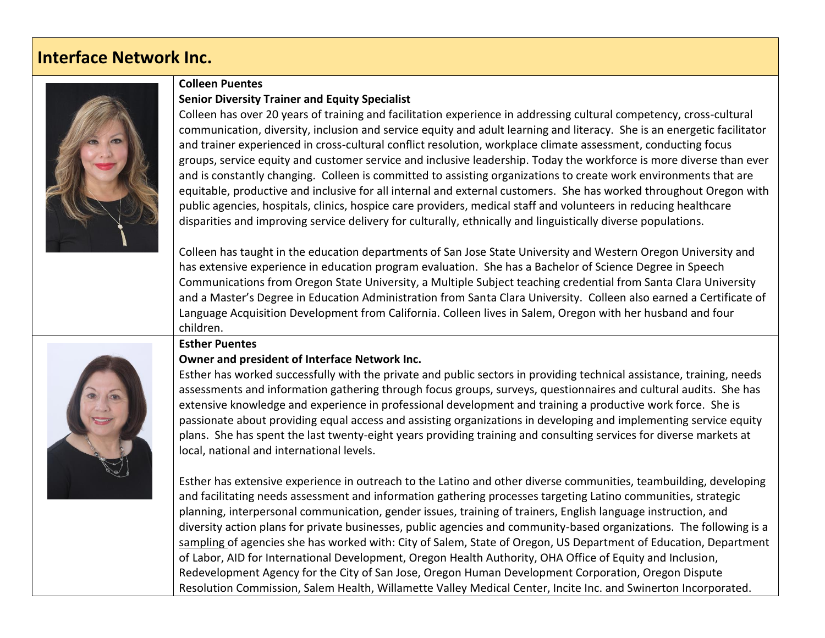## **Interface Network Inc.**



#### **Colleen Puentes Senior Diversity Trainer and Equity Specialist**

Colleen has over 20 years of training and facilitation experience in addressing cultural competency, cross-cultural communication, diversity, inclusion and service equity and adult learning and literacy. She is an energetic facilitator and trainer experienced in cross-cultural conflict resolution, workplace climate assessment, conducting focus groups, service equity and customer service and inclusive leadership. Today the workforce is more diverse than ever and is constantly changing. Colleen is committed to assisting organizations to create work environments that are equitable, productive and inclusive for all internal and external customers. She has worked throughout Oregon with public agencies, hospitals, clinics, hospice care providers, medical staff and volunteers in reducing healthcare disparities and improving service delivery for culturally, ethnically and linguistically diverse populations.

Colleen has taught in the education departments of San Jose State University and Western Oregon University and has extensive experience in education program evaluation. She has a Bachelor of Science Degree in Speech Communications from Oregon State University, a Multiple Subject teaching credential from Santa Clara University and a Master's Degree in Education Administration from Santa Clara University. Colleen also earned a Certificate of Language Acquisition Development from California. Colleen lives in Salem, Oregon with her husband and four children.



#### **Esther Puentes**

#### **Owner and president of Interface Network Inc.**

Esther has worked successfully with the private and public sectors in providing technical assistance, training, needs assessments and information gathering through focus groups, surveys, questionnaires and cultural audits. She has extensive knowledge and experience in professional development and training a productive work force. She is passionate about providing equal access and assisting organizations in developing and implementing service equity plans. She has spent the last twenty-eight years providing training and consulting services for diverse markets at local, national and international levels.

Esther has extensive experience in outreach to the Latino and other diverse communities, teambuilding, developing and facilitating needs assessment and information gathering processes targeting Latino communities, strategic planning, interpersonal communication, gender issues, training of trainers, English language instruction, and diversity action plans for private businesses, public agencies and community-based organizations. The following is a sampling of agencies she has worked with: City of Salem, State of Oregon, US Department of Education, Department of Labor, AID for International Development, Oregon Health Authority, OHA Office of Equity and Inclusion, Redevelopment Agency for the City of San Jose, Oregon Human Development Corporation, Oregon Dispute Resolution Commission, Salem Health, Willamette Valley Medical Center, Incite Inc. and Swinerton Incorporated.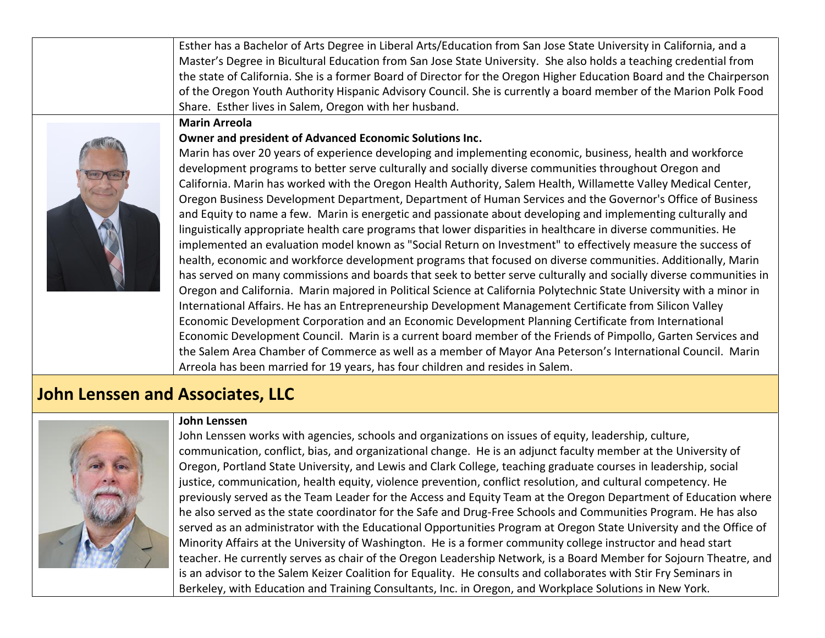| Esther has a Bachelor of Arts Degree in Liberal Arts/Education from San Jose State University in California, and a<br>Master's Degree in Bicultural Education from San Jose State University. She also holds a teaching credential from<br>the state of California. She is a former Board of Director for the Oregon Higher Education Board and the Chairperson<br>of the Oregon Youth Authority Hispanic Advisory Council. She is currently a board member of the Marion Polk Food<br>Share. Esther lives in Salem, Oregon with her husband.<br><b>Marin Arreola</b><br>Owner and president of Advanced Economic Solutions Inc.<br>Marin has over 20 years of experience developing and implementing economic, business, health and workforce<br>development programs to better serve culturally and socially diverse communities throughout Oregon and<br>California. Marin has worked with the Oregon Health Authority, Salem Health, Willamette Valley Medical Center,<br>Oregon Business Development Department, Department of Human Services and the Governor's Office of Business<br>and Equity to name a few. Marin is energetic and passionate about developing and implementing culturally and<br>linguistically appropriate health care programs that lower disparities in healthcare in diverse communities. He<br>implemented an evaluation model known as "Social Return on Investment" to effectively measure the success of<br>health, economic and workforce development programs that focused on diverse communities. Additionally, Marin<br>has served on many commissions and boards that seek to better serve culturally and socially diverse communities in<br>Oregon and California. Marin majored in Political Science at California Polytechnic State University with a minor in<br>International Affairs. He has an Entrepreneurship Development Management Certificate from Silicon Valley<br>Economic Development Corporation and an Economic Development Planning Certificate from International<br>Economic Development Council. Marin is a current board member of the Friends of Pimpollo, Garten Services and<br>the Salem Area Chamber of Commerce as well as a member of Mayor Ana Peterson's International Council. Marin<br>Arreola has been married for 19 years, has four children and resides in Salem. |  |
|-------------------------------------------------------------------------------------------------------------------------------------------------------------------------------------------------------------------------------------------------------------------------------------------------------------------------------------------------------------------------------------------------------------------------------------------------------------------------------------------------------------------------------------------------------------------------------------------------------------------------------------------------------------------------------------------------------------------------------------------------------------------------------------------------------------------------------------------------------------------------------------------------------------------------------------------------------------------------------------------------------------------------------------------------------------------------------------------------------------------------------------------------------------------------------------------------------------------------------------------------------------------------------------------------------------------------------------------------------------------------------------------------------------------------------------------------------------------------------------------------------------------------------------------------------------------------------------------------------------------------------------------------------------------------------------------------------------------------------------------------------------------------------------------------------------------------------------------------------------------------------------------------------------------------------------------------------------------------------------------------------------------------------------------------------------------------------------------------------------------------------------------------------------------------------------------------------------------------------------------------------------------------------------------------------------------------------------------------|--|
|                                                                                                                                                                                                                                                                                                                                                                                                                                                                                                                                                                                                                                                                                                                                                                                                                                                                                                                                                                                                                                                                                                                                                                                                                                                                                                                                                                                                                                                                                                                                                                                                                                                                                                                                                                                                                                                                                                                                                                                                                                                                                                                                                                                                                                                                                                                                                 |  |
|                                                                                                                                                                                                                                                                                                                                                                                                                                                                                                                                                                                                                                                                                                                                                                                                                                                                                                                                                                                                                                                                                                                                                                                                                                                                                                                                                                                                                                                                                                                                                                                                                                                                                                                                                                                                                                                                                                                                                                                                                                                                                                                                                                                                                                                                                                                                                 |  |
|                                                                                                                                                                                                                                                                                                                                                                                                                                                                                                                                                                                                                                                                                                                                                                                                                                                                                                                                                                                                                                                                                                                                                                                                                                                                                                                                                                                                                                                                                                                                                                                                                                                                                                                                                                                                                                                                                                                                                                                                                                                                                                                                                                                                                                                                                                                                                 |  |

## **John Lenssen and Associates, LLC**



#### **John Lenssen**

John Lenssen works with agencies, schools and organizations on issues of equity, leadership, culture, communication, conflict, bias, and organizational change. He is an adjunct faculty member at the University of Oregon, Portland State University, and Lewis and Clark College, teaching graduate courses in leadership, social justice, communication, health equity, violence prevention, conflict resolution, and cultural competency. He previously served as the Team Leader for the Access and Equity Team at the Oregon Department of Education where he also served as the state coordinator for the Safe and Drug-Free Schools and Communities Program. He has also served as an administrator with the Educational Opportunities Program at Oregon State University and the Office of Minority Affairs at the University of Washington. He is a former community college instructor and head start teacher. He currently serves as chair of the Oregon Leadership Network, is a Board Member for Sojourn Theatre, and is an advisor to the Salem Keizer Coalition for Equality. He consults and collaborates with Stir Fry Seminars in Berkeley, with Education and Training Consultants, Inc. in Oregon, and Workplace Solutions in New York.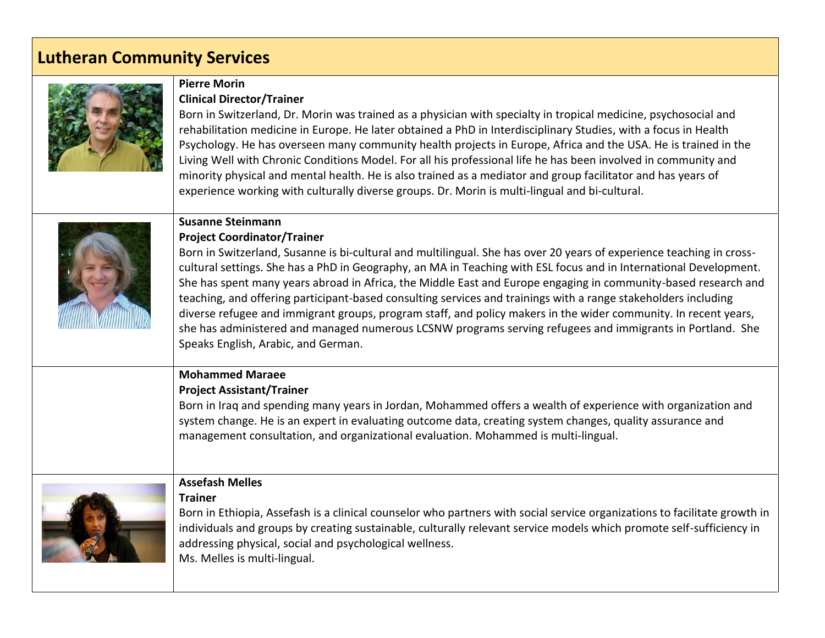## **Lutheran Community Services**



#### **Pierre Morin Clinical Director/Trainer**

Born in Switzerland, Dr. Morin was trained as a physician with specialty in tropical medicine, psychosocial and rehabilitation medicine in Europe. He later obtained a PhD in Interdisciplinary Studies, with a focus in Health Psychology. He has overseen many community health projects in Europe, Africa and the USA. He is trained in the Living Well with Chronic Conditions Model. For all his professional life he has been involved in community and minority physical and mental health. He is also trained as a mediator and group facilitator and has years of experience working with culturally diverse groups. Dr. Morin is multi-lingual and bi-cultural.



#### **Susanne Steinmann**

#### **Project Coordinator/Trainer**

Born in Switzerland, Susanne is bi-cultural and multilingual. She has over 20 years of experience teaching in crosscultural settings. She has a PhD in Geography, an MA in Teaching with ESL focus and in International Development. She has spent many years abroad in Africa, the Middle East and Europe engaging in community-based research and teaching, and offering participant-based consulting services and trainings with a range stakeholders including diverse refugee and immigrant groups, program staff, and policy makers in the wider community. In recent years, she has administered and managed numerous LCSNW programs serving refugees and immigrants in Portland. She Speaks English, Arabic, and German.

## **Mohammed Maraee**

**Project Assistant/Trainer**

Born in Iraq and spending many years in Jordan, Mohammed offers a wealth of experience with organization and system change. He is an expert in evaluating outcome data, creating system changes, quality assurance and management consultation, and organizational evaluation. Mohammed is multi-lingual.



#### **Assefash Melles**

#### **Trainer**

Born in Ethiopia, Assefash is a clinical counselor who partners with social service organizations to facilitate growth in individuals and groups by creating sustainable, culturally relevant service models which promote self-sufficiency in addressing physical, social and psychological wellness. Ms. Melles is multi-lingual.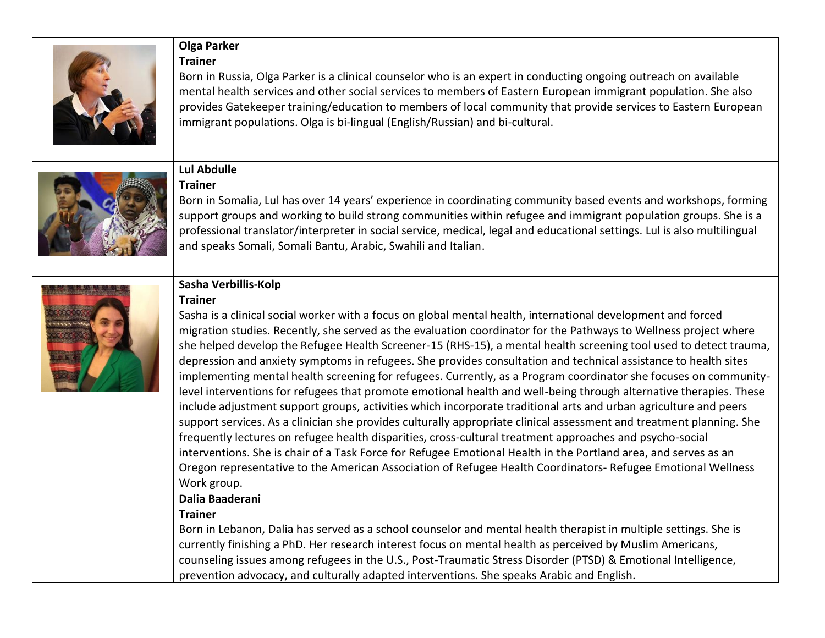

#### **Olga Parker Trainer**

Born in Russia, Olga Parker is a clinical counselor who is an expert in conducting ongoing outreach on available mental health services and other social services to members of Eastern European immigrant population. She also provides Gatekeeper training/education to members of local community that provide services to Eastern European immigrant populations. Olga is bi-lingual (English/Russian) and bi-cultural.



#### **Lul Abdulle Trainer**

Born in Somalia, Lul has over 14 years' experience in coordinating community based events and workshops, forming support groups and working to build strong communities within refugee and immigrant population groups. She is a professional translator/interpreter in social service, medical, legal and educational settings. Lul is also multilingual and speaks Somali, Somali Bantu, Arabic, Swahili and Italian.



#### **Sasha Verbillis-Kolp**

#### **Trainer**

Sasha is a clinical social worker with a focus on global mental health, international development and forced migration studies. Recently, she served as the evaluation coordinator for the Pathways to Wellness project where she helped develop the Refugee Health Screener-15 (RHS-15), a mental health screening tool used to detect trauma, depression and anxiety symptoms in refugees. She provides consultation and technical assistance to health sites implementing mental health screening for refugees. Currently, as a Program coordinator she focuses on communitylevel interventions for refugees that promote emotional health and well-being through alternative therapies. These include adjustment support groups, activities which incorporate traditional arts and urban agriculture and peers support services. As a clinician she provides culturally appropriate clinical assessment and treatment planning. She frequently lectures on refugee health disparities, cross-cultural treatment approaches and psycho-social interventions. She is chair of a Task Force for Refugee Emotional Health in the Portland area, and serves as an Oregon representative to the American Association of Refugee Health Coordinators- Refugee Emotional Wellness Work group.

## **Dalia Baaderani**

#### **Trainer**

Born in Lebanon, Dalia has served as a school counselor and mental health therapist in multiple settings. She is currently finishing a PhD. Her research interest focus on mental health as perceived by Muslim Americans, counseling issues among refugees in the U.S., Post-Traumatic Stress Disorder (PTSD) & Emotional Intelligence, prevention advocacy, and culturally adapted interventions. She speaks Arabic and English.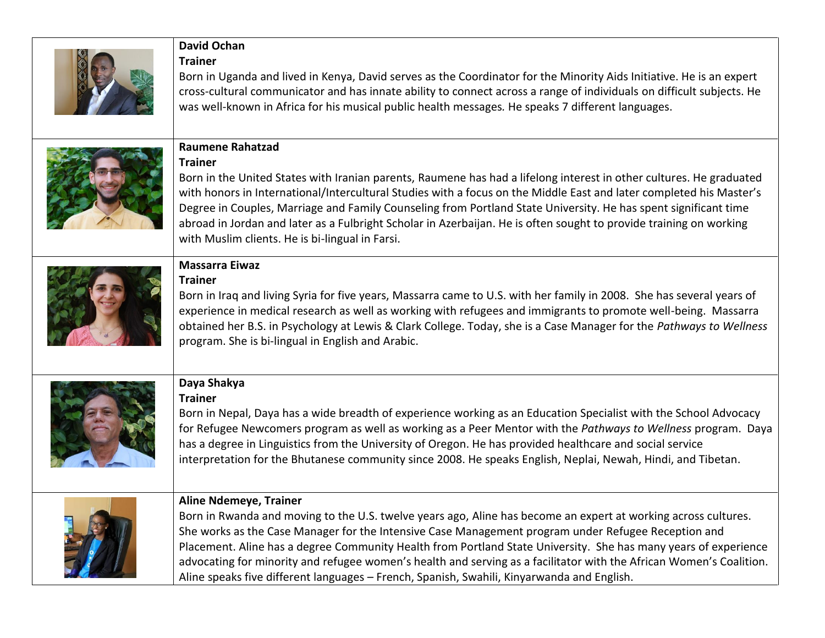| <b>David Ochan</b><br><b>Trainer</b><br>Born in Uganda and lived in Kenya, David serves as the Coordinator for the Minority Aids Initiative. He is an expert<br>cross-cultural communicator and has innate ability to connect across a range of individuals on difficult subjects. He<br>was well-known in Africa for his musical public health messages. He speaks 7 different languages.                                                                                                                                                                                                     |
|------------------------------------------------------------------------------------------------------------------------------------------------------------------------------------------------------------------------------------------------------------------------------------------------------------------------------------------------------------------------------------------------------------------------------------------------------------------------------------------------------------------------------------------------------------------------------------------------|
| <b>Raumene Rahatzad</b><br><b>Trainer</b><br>Born in the United States with Iranian parents, Raumene has had a lifelong interest in other cultures. He graduated<br>with honors in International/Intercultural Studies with a focus on the Middle East and later completed his Master's<br>Degree in Couples, Marriage and Family Counseling from Portland State University. He has spent significant time<br>abroad in Jordan and later as a Fulbright Scholar in Azerbaijan. He is often sought to provide training on working<br>with Muslim clients. He is bi-lingual in Farsi.            |
| <b>Massarra Eiwaz</b><br><b>Trainer</b><br>Born in Iraq and living Syria for five years, Massarra came to U.S. with her family in 2008. She has several years of<br>experience in medical research as well as working with refugees and immigrants to promote well-being. Massarra<br>obtained her B.S. in Psychology at Lewis & Clark College. Today, she is a Case Manager for the Pathways to Wellness<br>program. She is bi-lingual in English and Arabic.                                                                                                                                 |
| Daya Shakya<br><b>Trainer</b><br>Born in Nepal, Daya has a wide breadth of experience working as an Education Specialist with the School Advocacy<br>for Refugee Newcomers program as well as working as a Peer Mentor with the Pathways to Wellness program. Daya<br>has a degree in Linguistics from the University of Oregon. He has provided healthcare and social service<br>interpretation for the Bhutanese community since 2008. He speaks English, Neplai, Newah, Hindi, and Tibetan.                                                                                                 |
| <b>Aline Ndemeye, Trainer</b><br>Born in Rwanda and moving to the U.S. twelve years ago, Aline has become an expert at working across cultures.<br>She works as the Case Manager for the Intensive Case Management program under Refugee Reception and<br>Placement. Aline has a degree Community Health from Portland State University. She has many years of experience<br>advocating for minority and refugee women's health and serving as a facilitator with the African Women's Coalition.<br>Aline speaks five different languages - French, Spanish, Swahili, Kinyarwanda and English. |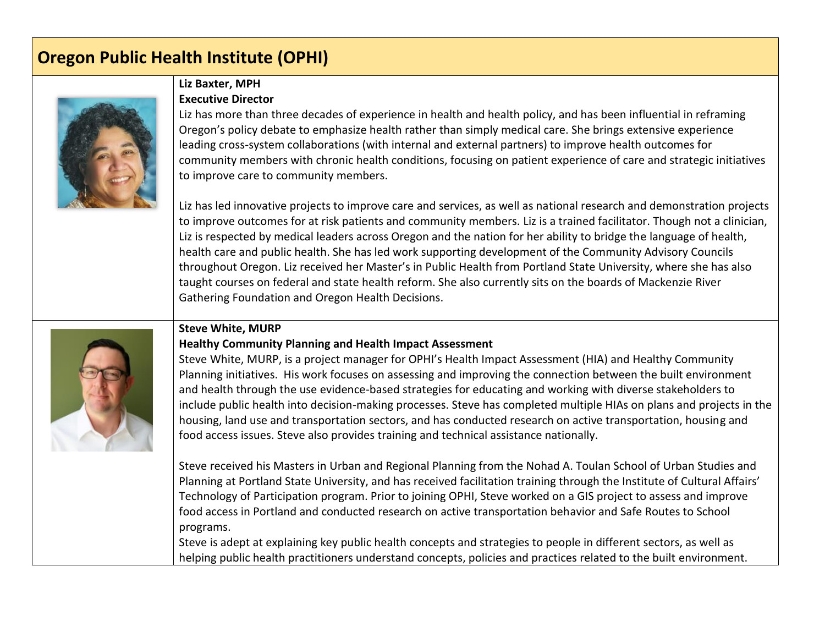## **Oregon Public Health Institute (OPHI)**



#### **Liz Baxter, MPH Executive Director**

Liz has more than three decades of experience in health and health policy, and has been influential in reframing Oregon's policy debate to emphasize health rather than simply medical care. She brings extensive experience leading cross-system collaborations (with internal and external partners) to improve health outcomes for community members with chronic health conditions, focusing on patient experience of care and strategic initiatives to improve care to community members.

Liz has led innovative projects to improve care and services, as well as national research and demonstration projects to improve outcomes for at risk patients and community members. Liz is a trained facilitator. Though not a clinician, Liz is respected by medical leaders across Oregon and the nation for her ability to bridge the language of health, health care and public health. She has led work supporting development of the Community Advisory Councils throughout Oregon. Liz received her Master's in Public Health from Portland State University, where she has also taught courses on federal and state health reform. She also currently sits on the boards of Mackenzie River Gathering Foundation and Oregon Health Decisions.

#### **Steve White, MURP**

#### **Healthy Community Planning and Health Impact Assessment**

Steve White, MURP, is a project manager for OPHI's Health Impact Assessment (HIA) and Healthy Community Planning initiatives. His work focuses on assessing and improving the connection between the built environment and health through the use evidence-based strategies for educating and working with diverse stakeholders to include public health into decision-making processes. Steve has completed multiple HIAs on plans and projects in the housing, land use and transportation sectors, and has conducted research on active transportation, housing and food access issues. Steve also provides training and technical assistance nationally.

Steve received his Masters in Urban and Regional Planning from the Nohad A. Toulan School of Urban Studies and Planning at Portland State University, and has received facilitation training through the Institute of Cultural Affairs' Technology of Participation program. Prior to joining OPHI, Steve worked on a GIS project to assess and improve food access in Portland and conducted research on active transportation behavior and Safe Routes to School programs.

Steve is adept at explaining key public health concepts and strategies to people in different sectors, as well as helping public health practitioners understand concepts, policies and practices related to the built environment.

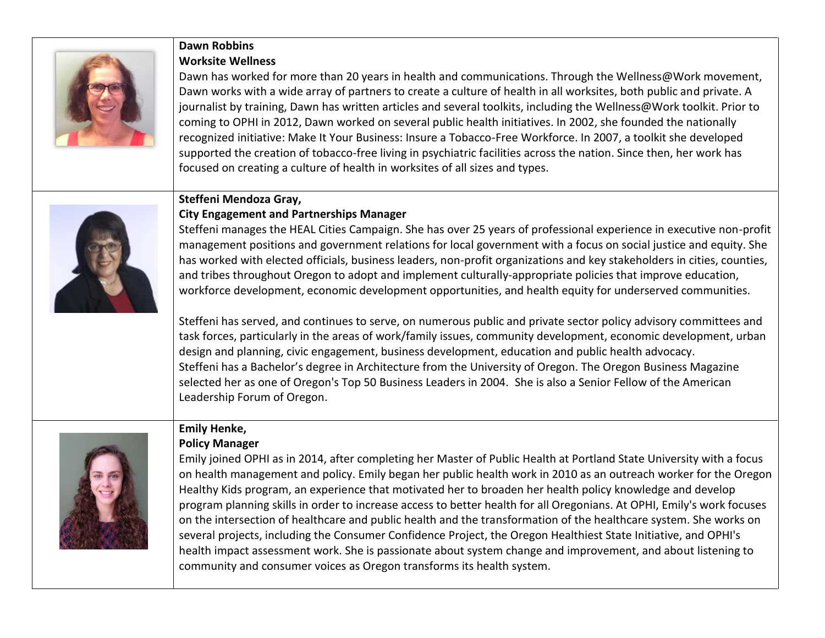

#### **Dawn Robbins Worksite Wellness**

#### Dawn has worked for more than 20 years in health and communications. Through the Wellness@Work movement, Dawn works with a wide array of partners to create a culture of health in all worksites, both public and private. A journalist by training, Dawn has written articles and several toolkits, including the Wellness@Work toolkit. Prior to coming to OPHI in 2012, Dawn worked on several public health initiatives. In 2002, she founded the nationally recognized initiative: Make It Your Business: Insure a Tobacco-Free Workforce. In 2007, a toolkit she developed supported the creation of tobacco-free living in psychiatric facilities across the nation. Since then, her work has focused on creating a culture of health in worksites of all sizes and types.

#### **Steffeni Mendoza Gray,**



#### **City Engagement and Partnerships Manager**

Steffeni manages the HEAL Cities Campaign. She has over 25 years of professional experience in executive non-profit management positions and government relations for local government with a focus on social justice and equity. She has worked with elected officials, business leaders, non-profit organizations and key stakeholders in cities, counties, and tribes throughout Oregon to adopt and implement culturally-appropriate policies that improve education, workforce development, economic development opportunities, and health equity for underserved communities.

Steffeni has served, and continues to serve, on numerous public and private sector policy advisory committees and task forces, particularly in the areas of work/family issues, community development, economic development, urban design and planning, civic engagement, business development, education and public health advocacy. Steffeni has a Bachelor's degree in Architecture from the University of Oregon. The Oregon Business Magazine selected her as one of Oregon's Top 50 Business Leaders in 2004. She is also a Senior Fellow of the American Leadership Forum of Oregon.

#### **Emily Henke, Policy Manager**



Emily joined OPHI as in 2014, after completing her Master of Public Health at Portland State University with a focus on health management and policy. Emily began her public health work in 2010 as an outreach worker for the Oregon Healthy Kids program, an experience that motivated her to broaden her health policy knowledge and develop program planning skills in order to increase access to better health for all Oregonians. At OPHI, Emily's work focuses on the intersection of healthcare and public health and the transformation of the healthcare system. She works on several projects, including the Consumer Confidence Project, the Oregon Healthiest State Initiative, and OPHI's health impact assessment work. She is passionate about system change and improvement, and about listening to community and consumer voices as Oregon transforms its health system.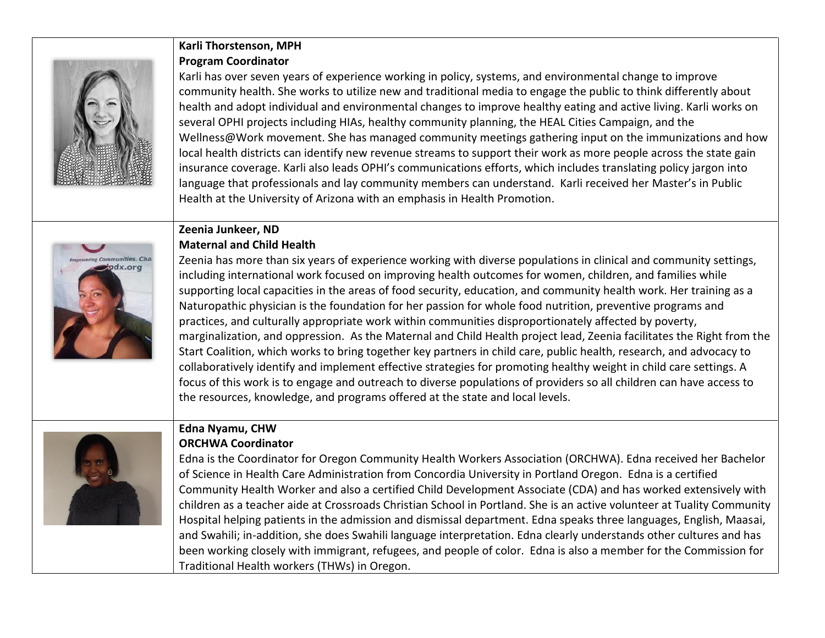

#### **Karli Thorstenson, MPH Program Coordinator**

Karli has over seven years of experience working in policy, systems, and environmental change to improve community health. She works to utilize new and traditional media to engage the public to think differently about health and adopt individual and environmental changes to improve healthy eating and active living. Karli works on several OPHI projects including HIAs, healthy community planning, the HEAL Cities Campaign, and the Wellness@Work movement. She has managed community meetings gathering input on the immunizations and how local health districts can identify new revenue streams to support their work as more people across the state gain insurance coverage. Karli also leads OPHI's communications efforts, which includes translating policy jargon into language that professionals and lay community members can understand. Karli received her Master's in Public Health at the University of Arizona with an emphasis in Health Promotion.

# pdx.org

**Zeenia Junkeer, ND Maternal and Child Health**

Zeenia has more than six years of experience working with diverse populations in clinical and community settings, including international work focused on improving health outcomes for women, children, and families while supporting local capacities in the areas of food security, education, and community health work. Her training as a Naturopathic physician is the foundation for her passion for whole food nutrition, preventive programs and practices, and culturally appropriate work within communities disproportionately affected by poverty, marginalization, and oppression. As the Maternal and Child Health project lead, Zeenia facilitates the Right from the Start Coalition, which works to bring together key partners in child care, public health, research, and advocacy to collaboratively identify and implement effective strategies for promoting healthy weight in child care settings. A focus of this work is to engage and outreach to diverse populations of providers so all children can have access to the resources, knowledge, and programs offered at the state and local levels.



## **Edna Nyamu, CHW**

#### **ORCHWA Coordinator**

Edna is the Coordinator for Oregon Community Health Workers Association (ORCHWA). Edna received her Bachelor of Science in Health Care Administration from Concordia University in Portland Oregon. Edna is a certified Community Health Worker and also a certified Child Development Associate (CDA) and has worked extensively with children as a teacher aide at Crossroads Christian School in Portland. She is an active volunteer at Tuality Community Hospital helping patients in the admission and dismissal department. Edna speaks three languages, English, Maasai, and Swahili; in-addition, she does Swahili language interpretation. Edna clearly understands other cultures and has been working closely with immigrant, refugees, and people of color. Edna is also a member for the Commission for Traditional Health workers (THWs) in Oregon.